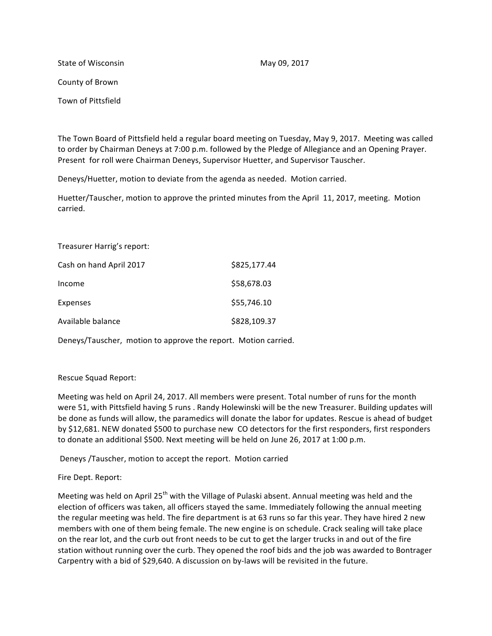State of Wisconsin May 09, 2017 County of Brown Town of Pittsfield

The Town Board of Pittsfield held a regular board meeting on Tuesday, May 9, 2017. Meeting was called to order by Chairman Deneys at 7:00 p.m. followed by the Pledge of Allegiance and an Opening Prayer. Present for roll were Chairman Deneys, Supervisor Huetter, and Supervisor Tauscher.

Deneys/Huetter, motion to deviate from the agenda as needed. Motion carried.

Huetter/Tauscher, motion to approve the printed minutes from the April 11, 2017, meeting. Motion carried.

Treasurer Harrig's report: Cash on hand April 2017 **\$825,177.44**  $Income$   $$58,678.03$  $Express$   $$55,746.10$ Available balance \$828,109.37

Deneys/Tauscher, motion to approve the report. Motion carried.

## Rescue Squad Report:

Meeting was held on April 24, 2017. All members were present. Total number of runs for the month were 51, with Pittsfield having 5 runs . Randy Holewinski will be the new Treasurer. Building updates will be done as funds will allow, the paramedics will donate the labor for updates. Rescue is ahead of budget by \$12,681. NEW donated \$500 to purchase new CO detectors for the first responders, first responders to donate an additional \$500. Next meeting will be held on June 26, 2017 at 1:00 p.m.

Deneys /Tauscher, motion to accept the report. Motion carried

Fire Dept. Report:

Meeting was held on April  $25<sup>th</sup>$  with the Village of Pulaski absent. Annual meeting was held and the election of officers was taken, all officers stayed the same. Immediately following the annual meeting the regular meeting was held. The fire department is at 63 runs so far this year. They have hired 2 new members with one of them being female. The new engine is on schedule. Crack sealing will take place on the rear lot, and the curb out front needs to be cut to get the larger trucks in and out of the fire station without running over the curb. They opened the roof bids and the job was awarded to Bontrager Carpentry with a bid of \$29,640. A discussion on by-laws will be revisited in the future.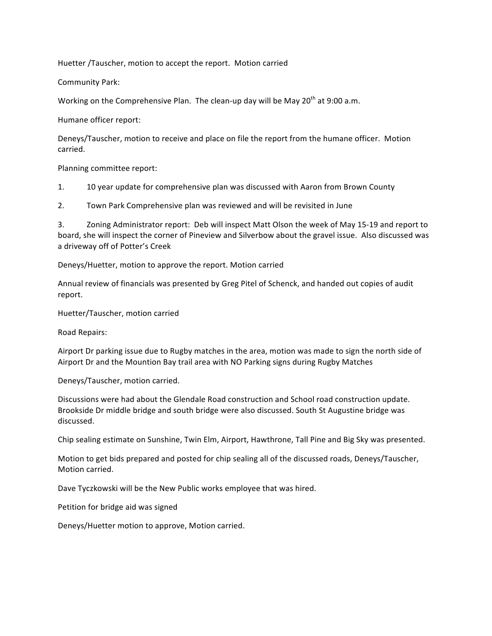Huetter /Tauscher, motion to accept the report. Motion carried

Community Park:

Working on the Comprehensive Plan. The clean-up day will be May  $20^{th}$  at 9:00 a.m.

Humane officer report:

Deneys/Tauscher, motion to receive and place on file the report from the humane officer. Motion carried.

Planning committee report:

1. 10 year update for comprehensive plan was discussed with Aaron from Brown County

2. Town Park Comprehensive plan was reviewed and will be revisited in June

3. Zoning Administrator report: Deb will inspect Matt Olson the week of May 15-19 and report to board, she will inspect the corner of Pineview and Silverbow about the gravel issue. Also discussed was a driveway off of Potter's Creek

Deneys/Huetter, motion to approve the report. Motion carried

Annual review of financials was presented by Greg Pitel of Schenck, and handed out copies of audit report.

Huetter/Tauscher, motion carried

Road Repairs:

Airport Dr parking issue due to Rugby matches in the area, motion was made to sign the north side of Airport Dr and the Mountion Bay trail area with NO Parking signs during Rugby Matches

Deneys/Tauscher, motion carried.

Discussions were had about the Glendale Road construction and School road construction update. Brookside Dr middle bridge and south bridge were also discussed. South St Augustine bridge was discussed.

Chip sealing estimate on Sunshine, Twin Elm, Airport, Hawthrone, Tall Pine and Big Sky was presented.

Motion to get bids prepared and posted for chip sealing all of the discussed roads, Deneys/Tauscher, Motion carried.

Dave Tyczkowski will be the New Public works employee that was hired.

Petition for bridge aid was signed

Deneys/Huetter motion to approve, Motion carried.